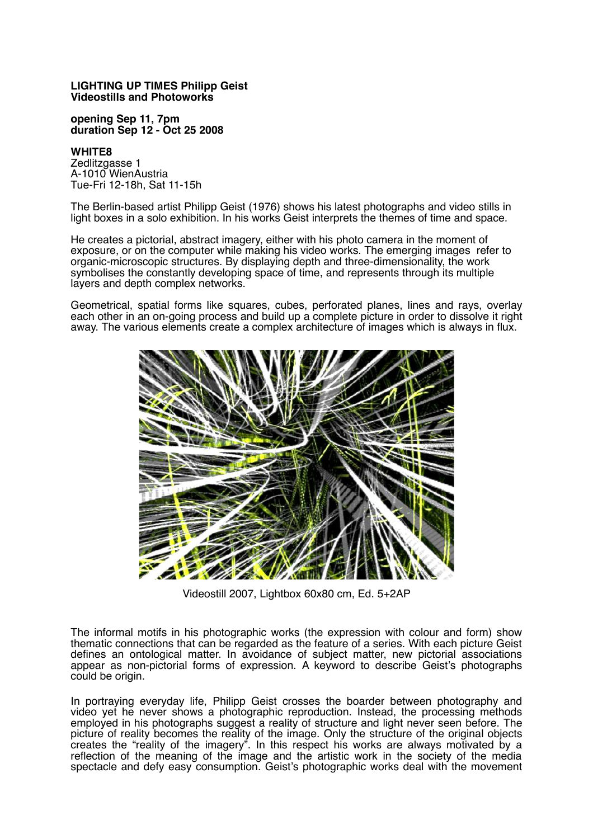## **LIGHTING UP TIMES Philipp Geist Videostills and Photoworks**

**opening Sep 11, 7pm duration Sep 12 - Oct 25 2008**

## **WHITE8**

Zedlitzgasse 1 A-1010 WienAustria Tue-Fri 12-18h, Sat 11-15h

The Berlin-based artist Philipp Geist (1976) shows his latest photographs and video stills in light boxes in a solo exhibition. In his works Geist interprets the themes of time and space.

He creates a pictorial, abstract imagery, either with his photo camera in the moment of exposure, or on the computer while making his video works. The emerging images refer to organic-microscopic structures. By displaying depth and three-dimensionality, the work symbolises the constantly developing space of time, and represents through its multiple layers and depth complex networks.

Geometrical, spatial forms like squares, cubes, perforated planes, lines and rays, overlay each other in an on-going process and build up a complete picture in order to dissolve it right away. The various elements create a complex architecture of images which is always in flux.



Videostill 2007, Lightbox 60x80 cm, Ed. 5+2AP

The informal motifs in his photographic works (the expression with colour and form) show thematic connections that can be regarded as the feature of a series. With each picture Geist defines an ontological matter. In avoidance of subject matter, new pictorial associations appear as non-pictorial forms of expression. A keyword to describe Geist's photographs could be origin.

In portraying everyday life, Philipp Geist crosses the boarder between photography and video yet he never shows a photographic reproduction. Instead, the processing methods employed in his photographs suggest a reality of structure and light never seen before. The picture of reality becomes the reality of the image. Only the structure of the original objects creates the "reality of the imagery". In this respect his works are always motivated by a reflection of the meaning of the image and the artistic work in the society of the media spectacle and defy easy consumption. Geist's photographic works deal with the movement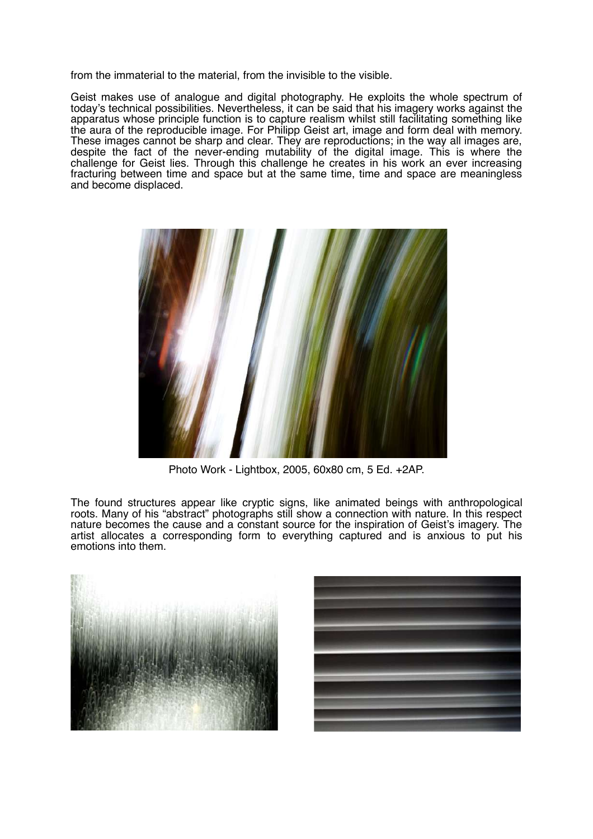from the immaterial to the material, from the invisible to the visible.

Geist makes use of analogue and digital photography. He exploits the whole spectrum of today's technical possibilities. Nevertheless, it can be said that his imagery works against the apparatus whose principle function is to capture realism whilst still facilitating something like the aura of the reproducible image. For Philipp Geist art, image and form deal with memory. These images cannot be sharp and clear. They are reproductions; in the way all images are, despite the fact of the never-ending mutability of the digital image. This is where the challenge for Geist lies. Through this challenge he creates in his work an ever increasing fracturing between time and space but at the same time, time and space are meaningless and become displaced.



Photo Work - Lightbox, 2005, 60x80 cm, 5 Ed. +2AP.

The found structures appear like cryptic signs, like animated beings with anthropological roots. Many of his "abstract" photographs still show a connection with nature. In this respect nature becomes the cause and a constant source for the inspiration of Geist's imagery. The artist allocates a corresponding form to everything captured and is anxious to put his emotions into them.



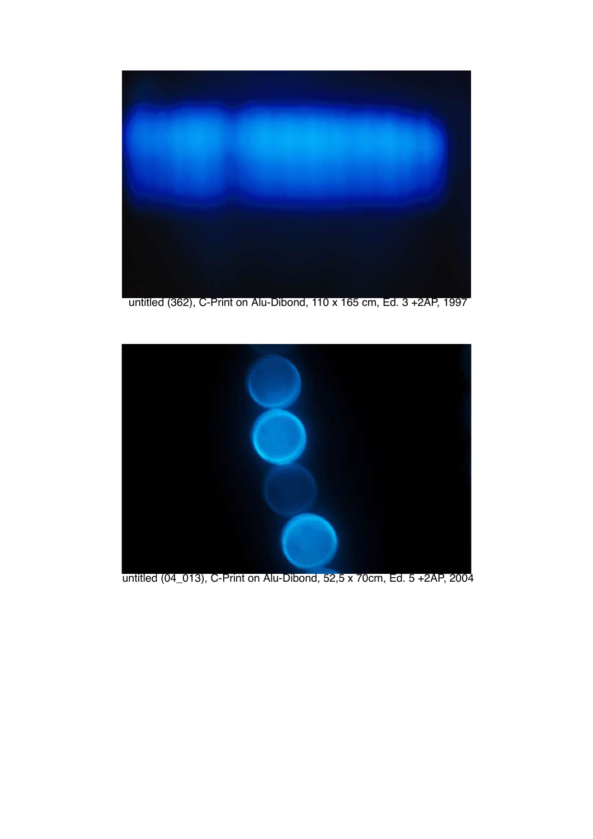

untitled (362), C-Print on Alu-Dibond, 110 x 165 cm, Ed. 3 +2AP, 1997



untitled (04\_013), C-Print on Alu-Dibond, 52,5 x 70cm, Ed. 5 +2AP, 2004